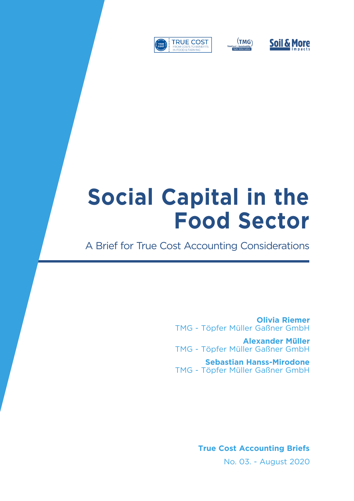





# **Social Capital in the Food Sector**

A Brief for True Cost Accounting Considerations

**Olivia Riemer** TMG - Töpfer Müller Gaßner GmbH

**Alexander Müller**  TMG - Töpfer Müller Gaßner GmbH

**Sebastian Hanss-Mirodone** TMG - Töpfer Müller Gaßner GmbH

**True Cost Accounting Briefs** 

No. 03. - August 2020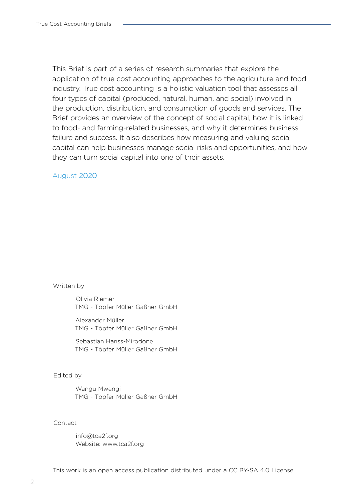This Brief is part of a series of research summaries that explore the application of true cost accounting approaches to the agriculture and food industry. True cost accounting is a holistic valuation tool that assesses all four types of capital (produced, natural, human, and social) involved in the production, distribution, and consumption of goods and services. The Brief provides an overview of the concept of social capital, how it is linked to food- and farming-related businesses, and why it determines business failure and success. It also describes how measuring and valuing social capital can help businesses manage social risks and opportunities, and how they can turn social capital into one of their assets.

#### August 2020

#### Written by

Olivia Riemer TMG - Töpfer Müller Gaßner GmbH

Alexander Müller TMG - Töpfer Müller Gaßner GmbH

Sebastian Hanss-Mirodone TMG - Töpfer Müller Gaßner GmbH

#### Edited by

Wangu Mwangi TMG - Töpfer Müller Gaßner GmbH

#### Contact

info@tca2f.org Website: [www.](https://tca2f.org/)tca2f.org

This work is an open access publication distributed under a CC BY-SA 4.0 License.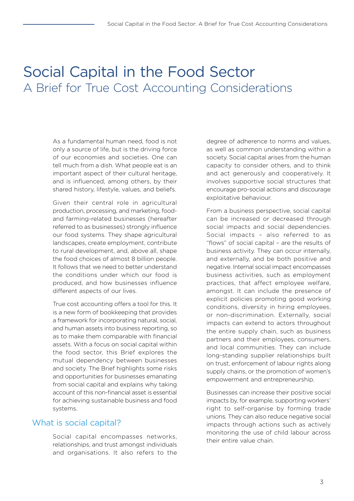## Social Capital in the Food Sector A Brief for True Cost Accounting Considerations

As a fundamental human need, food is not only a source of life, but is the driving force of our economies and societies. One can tell much from a dish. What people eat is an important aspect of their cultural heritage, and is influenced, among others, by their shared history, lifestyle, values, and beliefs.

Given their central role in agricultural production, processing, and marketing, foodand farming-related businesses (hereafter referred to as businesses) strongly influence our food systems. They shape agricultural landscapes, create employment, contribute to rural development, and, above all, shape the food choices of almost 8 billion people. It follows that we need to better understand the conditions under which our food is produced, and how businesses influence different aspects of our lives.

True cost accounting offers a tool for this. It is a new form of bookkeeping that provides a framework for incorporating natural, social, and human assets into business reporting, so as to make them comparable with financial assets. With a focus on social capital within the food sector, this Brief explores the mutual dependency between businesses and society. The Brief highlights some risks and opportunities for businesses emanating from social capital and explains why taking account of this non-financial asset is essential for achieving sustainable business and food systems.

#### What is social capital?

Social capital encompasses networks, relationships, and trust amongst individuals and organisations. It also refers to the

degree of adherence to norms and values, as well as common understanding within a society. Social capital arises from the human capacity to consider others, and to think and act generously and cooperatively. It involves supportive social structures that encourage pro-social actions and discourage exploitative behaviour.

From a business perspective, social capital can be increased or decreased through social impacts and social dependencies. Social impacts – also referred to as "flows" of social capital – are the results of business activity. They can occur internally, and externally, and be both positive and negative. Internal social impact encompasses business activities, such as employment practices, that affect employee welfare, amongst. It can include the presence of explicit policies promoting good working conditions, diversity in hiring employees, or non-discrimination. Externally, social impacts can extend to actors throughout the entire supply chain, such as business partners and their employees, consumers, and local communities. They can include long-standing supplier relationships built on trust, enforcement of labour rights along supply chains, or the promotion of women's empowerment and entrepreneurship.

Businesses can increase their positive social impacts by, for example, supporting workers' right to self-organise by forming trade unions. They can also reduce negative social impacts through actions such as actively monitoring the use of child labour across their entire value chain.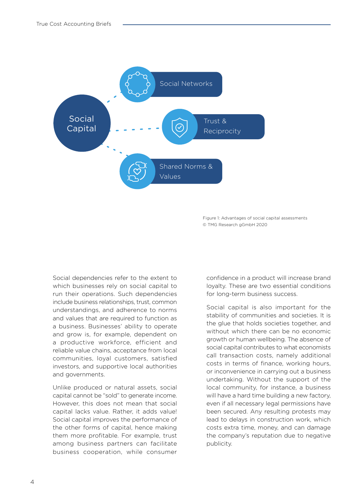

Figure 1: Advantages of social capital assessments © TMG Research gGmbH 2020

Social dependencies refer to the extent to which businesses rely on social capital to run their operations. Such dependencies include business relationships, trust, common understandings, and adherence to norms and values that are required to function as a business. Businesses' ability to operate and grow is, for example, dependent on a productive workforce, efficient and reliable value chains, acceptance from local communities, loyal customers, satisfied investors, and supportive local authorities and governments.

Unlike produced or natural assets, social capital cannot be "sold" to generate income. However, this does not mean that social capital lacks value. Rather, it adds value! Social capital improves the performance of the other forms of capital, hence making them more profitable. For example, trust among business partners can facilitate business cooperation, while consumer confidence in a product will increase brand loyalty. These are two essential conditions for long-term business success.

Social capital is also important for the stability of communities and societies. It is the glue that holds societies together, and without which there can be no economic growth or human wellbeing. The absence of social capital contributes to what economists call transaction costs, namely additional costs in terms of finance, working hours, or inconvenience in carrying out a business undertaking. Without the support of the local community, for instance, a business will have a hard time building a new factory, even if all necessary legal permissions have been secured. Any resulting protests may lead to delays in construction work, which costs extra time, money, and can damage the company's reputation due to negative publicity.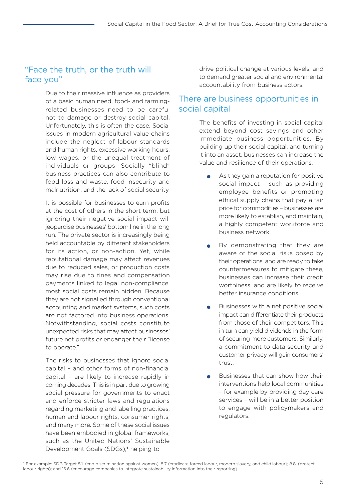### "Face the truth, or the truth will face you"

Due to their massive influence as providers of a basic human need, food- and farmingrelated businesses need to be careful not to damage or destroy social capital. Unfortunately, this is often the case. Social issues in modern agricultural value chains include the neglect of labour standards and human rights, excessive working hours, low wages, or the unequal treatment of individuals or groups. Socially "blind" business practices can also contribute to food loss and waste, food insecurity and malnutrition, and the lack of social security.

It is possible for businesses to earn profits at the cost of others in the short term, but ignoring their negative social impact will jeopardise businesses' bottom line in the long run. The private sector is increasingly being held accountable by different stakeholders for its action, or non-action. Yet, while reputational damage may affect revenues due to reduced sales, or production costs may rise due to fines and compensation payments linked to legal non-compliance, most social costs remain hidden. Because they are not signalled through conventional accounting and market systems, such costs are not factored into business operations. Notwithstanding, social costs constitute unexpected risks that may affect businesses' future net profits or endanger their "license to operate."

The risks to businesses that ignore social capital – and other forms of non-financial capital – are likely to increase rapidly in coming decades. This is in part due to growing social pressure for governments to enact and enforce stricter laws and regulations regarding marketing and labelling practices, human and labour rights, consumer rights, and many more. Some of these social issues have been embodied in global frameworks, such as the United Nations' Sustainable Development Goals (SDGs),<sup>1</sup> helping to

drive political change at various levels, and to demand greater social and environmental accountability from business actors.

#### There are business opportunities in social capital

The benefits of investing in social capital extend beyond cost savings and other immediate business opportunities. By building up their social capital, and turning it into an asset, businesses can increase the value and resilience of their operations.

- As they gain a reputation for positive social impact – such as providing employee benefits or promoting ethical supply chains that pay a fair price for commodities – businesses are more likely to establish, and maintain, a highly competent workforce and business network.
- By demonstrating that they are aware of the social risks posed by their operations, and are ready to take countermeasures to mitigate these, businesses can increase their credit worthiness, and are likely to receive better insurance conditions.
- Businesses with a net positive social impact can differentiate their products from those of their competitors. This in turn can yield dividends in the form of securing more customers. Similarly, a commitment to data security and customer privacy will gain consumers' trust.
- Businesses that can show how their interventions help local communities – for example by providing day care services – will be in a better position to engage with policymakers and regulators.

1 For example: SDG Target 5.1. (end discrimination against women); 8.7 (eradicate forced labour, modern slavery, and child labour); 8.8. (protect labour rights); and 16.6 (encourage companies to integrate sustainability information into their reporting).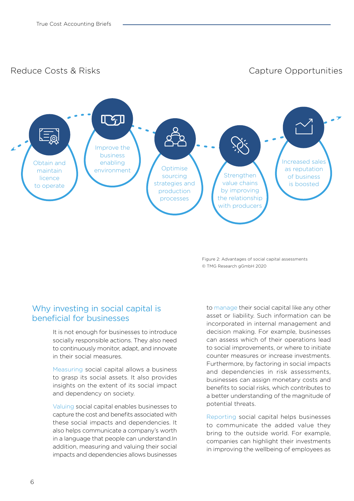#### Reduce Costs & Risks **Capture Opportunities**



Figure 2: Advantages of social capital assessments © TMG Research gGmbH 2020

#### Why investing in social capital is beneficial for businesses

It is not enough for businesses to introduce socially responsible actions. They also need to continuously monitor, adapt, and innovate in their social measures.

Measuring social capital allows a business to grasp its social assets. It also provides insights on the extent of its social impact and dependency on society.

Valuing social capital enables businesses to capture the cost and benefits associated with these social impacts and dependencies. It also helps communicate a company's worth in a language that people can understand.In addition, measuring and valuing their social impacts and dependencies allows businesses

to manage their social capital like any other asset or liability. Such information can be incorporated in internal management and decision making. For example, businesses can assess which of their operations lead to social improvements, or where to initiate counter measures or increase investments. Furthermore, by factoring in social impacts and dependencies in risk assessments, businesses can assign monetary costs and benefits to social risks, which contributes to a better understanding of the magnitude of potential threats.

Reporting social capital helps businesses to communicate the added value they bring to the outside world. For example, companies can highlight their investments in improving the wellbeing of employees as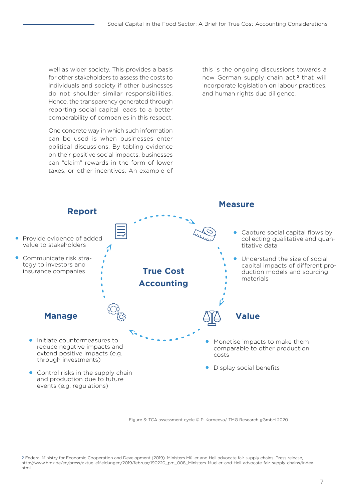well as wider society. This provides a basis for other stakeholders to assess the costs to individuals and society if other businesses do not shoulder similar responsibilities. Hence, the transparency generated through reporting social capital leads to a better comparability of companies in this respect.

One concrete way in which such information can be used is when businesses enter political discussions. By tabling evidence on their positive social impacts, businesses can "claim" rewards in the form of lower taxes, or other incentives. An example of

this is the ongoing discussions towards a new German supply chain act,2 that will incorporate legislation on labour practices, and human rights due diligence.



Figure 3: TCA assessment cycle © P. Korneeva/ TMG Research gGmbH 2020

<sup>2</sup> Federal Ministry for Economic Cooperation and Development (2019). Ministers Müller and Heil advocate fair supply chains. Press release, [http://www.bmz.de/en/press/aktuelleMeldungen/2019/februar/190220\\_pm\\_008\\_Ministers-Mueller-and-Heil-advocate-fair-supply-chains/index.](http://www.bmz.de/en/press/aktuelleMeldungen/2019/februar/190220_pm_008_Ministers-Mueller-and-Heil-advocate-fair-supply-chains/index.html) [html](http://www.bmz.de/en/press/aktuelleMeldungen/2019/februar/190220_pm_008_Ministers-Mueller-and-Heil-advocate-fair-supply-chains/index.html)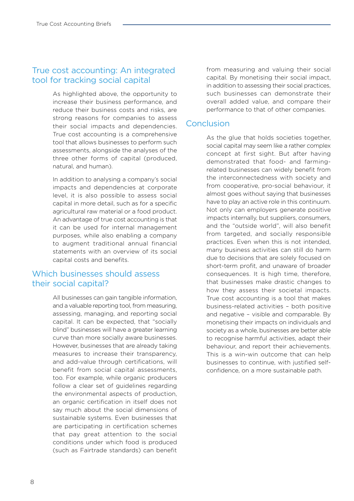#### True cost accounting: An integrated tool for tracking social capital

As highlighted above, the opportunity to increase their business performance, and reduce their business costs and risks, are strong reasons for companies to assess their social impacts and dependencies. True cost accounting is a comprehensive tool that allows businesses to perform such assessments, alongside the analyses of the three other forms of capital (produced, natural, and human).

In addition to analysing a company's social impacts and dependencies at corporate level, it is also possible to assess social capital in more detail, such as for a specific agricultural raw material or a food product. An advantage of true cost accounting is that it can be used for internal management purposes, while also enabling a company to augment traditional annual financial statements with an overview of its social capital costs and benefits.

#### Which businesses should assess their social capital?

All businesses can gain tangible information, and a valuable reporting tool, from measuring, assessing, managing, and reporting social capital. It can be expected, that "socially blind" businesses will have a greater learning curve than more socially aware businesses. However, businesses that are already taking measures to increase their transparency, and add-value through certifications, will benefit from social capital assessments, too. For example, while organic producers follow a clear set of guidelines regarding the environmental aspects of production, an organic certification in itself does not say much about the social dimensions of sustainable systems. Even businesses that are participating in certification schemes that pay great attention to the social conditions under which food is produced (such as Fairtrade standards) can benefit

from measuring and valuing their social capital. By monetising their social impact, in addition to assessing their social practices, such businesses can demonstrate their overall added value, and compare their performance to that of other companies.

### **Conclusion**

As the glue that holds societies together, social capital may seem like a rather complex concept at first sight. But after having demonstrated that food- and farmingrelated businesses can widely benefit from the interconnectedness with society and from cooperative, pro-social behaviour, it almost goes without saying that businesses have to play an active role in this continuum. Not only can employers generate positive impacts internally, but suppliers, consumers, and the "outside world", will also benefit from targeted, and socially responsible practices. Even when this is not intended, many business activities can still do harm due to decisions that are solely focused on short-term profit, and unaware of broader consequences. It is high time, therefore, that businesses make drastic changes to how they assess their societal impacts. True cost accounting is a tool that makes business-related activities – both positive and negative – visible and comparable. By monetising their impacts on individuals and society as a whole, businesses are better able to recognise harmful activities, adapt their behaviour, and report their achievements. This is a win-win outcome that can help businesses to continue, with justified selfconfidence, on a more sustainable path.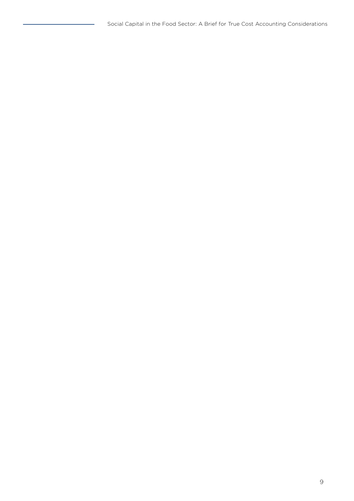Social Capital in the Food Sector: A Brief for True Cost Accounting Considerations